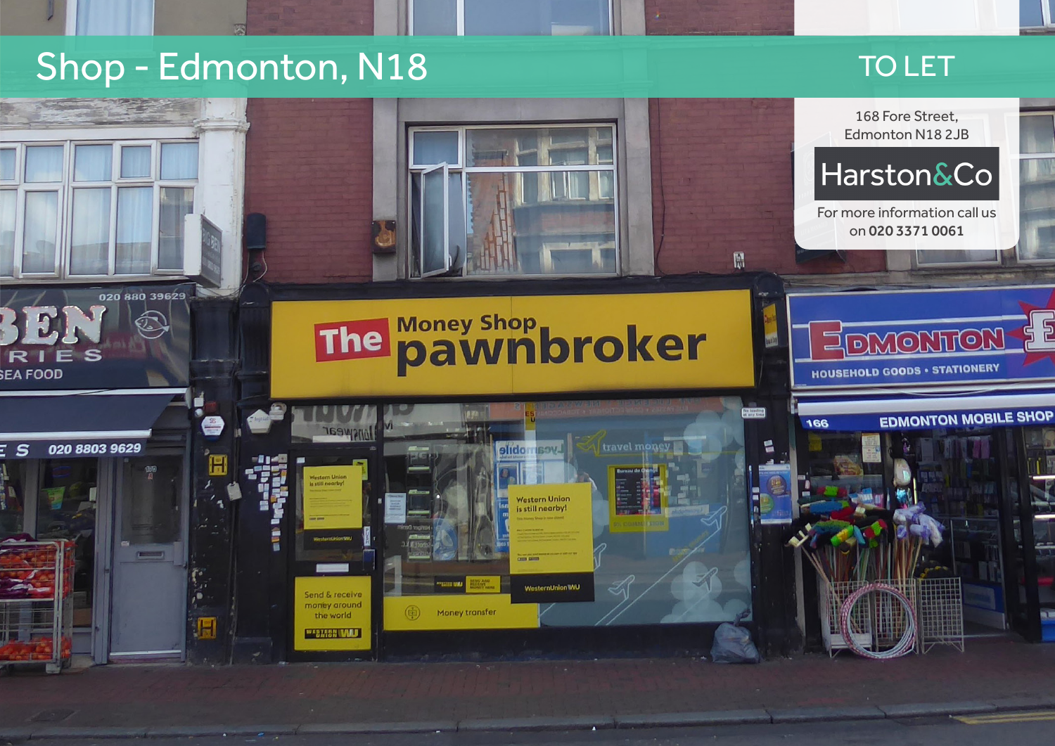## Shop - Edmonton, N18 TO LET